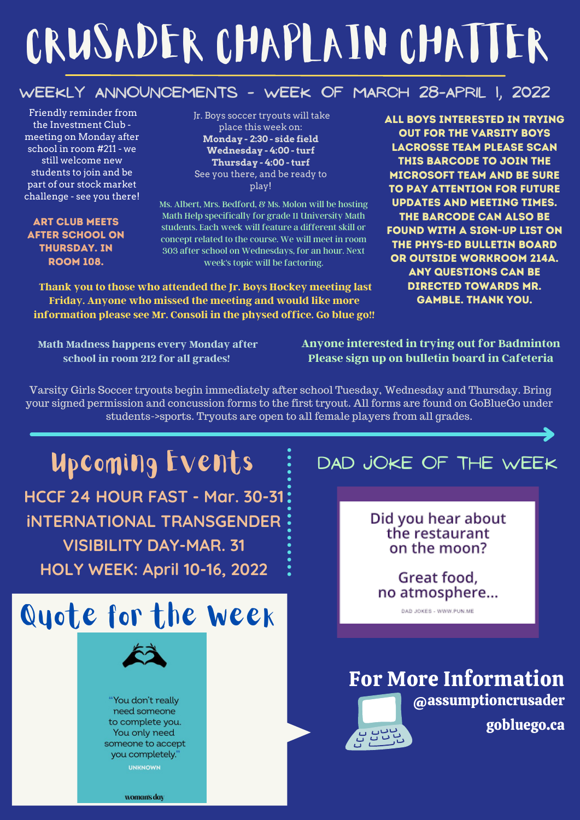# CRUSADER CHAPLAIN CHATTER

### **Weekly Announcements - week of March 28-april 1, 2022**

Friendly reminder from the Investment Club meeting on Monday after school in room #211 - we still welcome new students to join and be part of our stock market challenge - see you there!

#### Art Club meets after school on thursDAY. in room 108.

Jr. Boys soccer tryouts will take place this week on: **Monday - 2:30 - side field Wednesday - 4:00 - turf Thursday - 4:00 - turf** See you there, and be ready to play!

Ms. Albert, Mrs. Bedford, & Ms. Molon will be hosting Math Help specifically for grade 11 University Math students. Each week will feature a different skill or concept related to the course. We will meet in room 303 after school on Wednesdays, for an hour. Next week's topic will be factoring.

**Thank you to those who attended the Jr. Boys Hockey meeting last Friday. Anyone who missed the meeting and would like more information please see Mr. Consoli in the physed office. Go blue go!!** All boys interested in trying out for the Varsity Boys Lacrosse Team please Scan this barcode to join the Microsoft team and be sure to pay attention for future updates and meeting times. The barcode can also be found with a sign-up list on the Phys-ed bulletin board or outside Workroom 214A. Any questions can be directed towards Mr. Gamble. Thank you.

**Math Madness happens every Monday after school in room 212 for all grades!**

**Anyone interested in trying out for Badminton Please sign up on bulletin board in Cafeteria**

Varsity Girls Soccer tryouts begin immediately after school Tuesday, Wednesday and Thursday. Bring your signed permission and concussion forms to the first tryout. All forms are found on GoBlueGo under students->sports. Tryouts are open to all female players from all grades.

#### Upcoming Events DAD JOKE OF THE WEEK **HCCF 24 HOUR FAST - Mar. 30-31** Did you hear about **iNTERNATIONAL TRANSGENDER** the restaurant **VISIBILITY DAY-MAR. 31** on the moon? **HOLY WEEK: April 10-16, 2022** Great food, no atmosphere... Quote for the Week DAD JOKES - WWW.PUN.ME For More Information @assumptioncrusader "You don't really need someone gobluego.ca to complete you. **BUDY** You only need someone to accept you completely. **UNKNOWN**